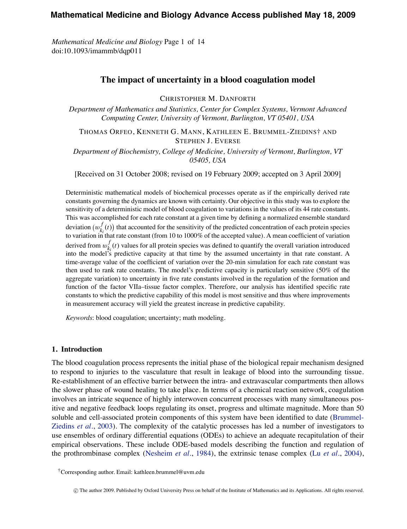# **Mathematical Medicine and Biology Advance Access published May 18, 2009**

*Mathematical Medicine and Biology* Page 1 of 14 doi:10.1093/imammb/dqp011

# **The impact of uncertainty in a blood coagulation model**

CHRISTOPHER M. DANFORTH

*Department of Mathematics and Statistics, Center for Complex Systems, Vermont Advanced Computing Center, University of Vermont, Burlington, VT 05401, USA*

THOMAS ORFEO, KENNETH G. MANN, KATHLEEN E. BRUMMEL-ZIEDINS† AND STEPHEN J. EVERSE

*Department of Biochemistry, College of Medicine, University of Vermont, Burlington, VT 05405, USA*

[Received on 31 October 2008; revised on 19 February 2009; accepted on 3 April 2009]

Deterministic mathematical models of biochemical processes operate as if the empirically derived rate constants governing the dynamics are known with certainty. Our objective in this study was to explore the sensitivity of a deterministic model of blood coagulation to variations in the values of its 44 rate constants. This was accomplished for each rate constant at a given time by defining a normalized ensemble standard deviation  $(w_k^f(t))$  that accounted for the sensitivity of the predicted concentration of each protein species to variation  $\left(\frac{w_{k_i}(t)}{k_i(t)}\right)$  that accounted for the sensitivity of the accepted value). A mean coefficient of variation in that rate constant (from 10 to 1000% of the accepted value). A mean coefficient of variatio derived from  $w_k^f(t)$  values for all protein species was defined to quantify the overall variation introduced  $\lim_{k_i}(t)$  values for an protein species was defined to quality the overall variation intoduced<br>into the model's predictive capacity at that time by the assumed uncertainty in that rate constant. A time-average value of the coefficient of variation over the 20-min simulation for each rate constant was then used to rank rate constants. The model's predictive capacity is particularly sensitive (50% of the aggregate variation) to uncertainty in five rate constants involved in the regulation of the formation and function of the factor VIIa–tissue factor complex. Therefore, our analysis has identified specific rate constants to which the predictive capability of this model is most sensitive and thus where improvements in measurement accuracy will yield the greatest increase in predictive capability.

*Keywords*: blood coagulation; uncertainty; math modeling.

#### **1. Introduction**

The blood coagulation process represents the initial phase of the biological repair mechanism designed to respond to injuries to the vasculature that result in leakage of blood into the surrounding tissue. Re-establishment of an effective barrier between the intra- and extravascular compartments then allows the slower phase of wound healing to take place. In terms of a chemical reaction network, coagulation involves an intricate sequence of highly interwoven concurrent processes with many simultaneous positive and negative feedback loops regulating its onset, progress and ultimate magnitude. More than 50 soluble and cell-associated protein components of this system have been identified to date [\(Brummel-](#page-12-0)[Ziedins](#page-12-0) *et al.*, [2003](#page-12-0)). The complexity of the catalytic processes has led a number of investigators to use ensembles of ordinary differential equations (ODEs) to achieve an adequate recapitulation of their empirical observations. These include ODE-based models describing the function and regulation of the prothrombinase complex ([Nesheim](#page-12-0) *et al.*, [1984](#page-12-0)), the extrinsic tenase complex (Lu *[et al.](#page-12-0)*, [2004](#page-12-0)),

<sup>†</sup>Corresponding author. Email: kathleen.brummel@uvm.edu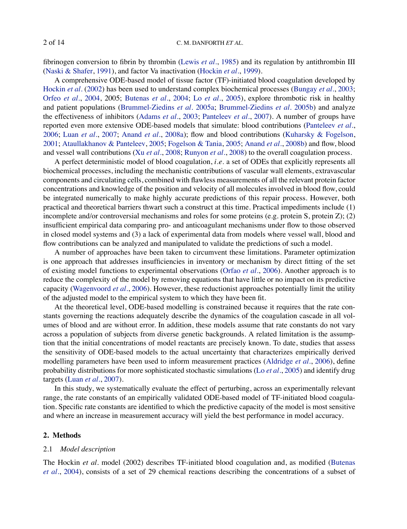fibrinogen conversion to fibrin by thrombin [\(Lewis](#page-12-0) *et al.*, [1985](#page-12-0)) and its regulation by antithrombin III [\(Naski & Shafer](#page-12-0), [1991](#page-12-0)), and factor Va inactivation [\(Hockin](#page-12-0) *et al.*, [1999\)](#page-12-0).

A comprehensive ODE-based model of tissue factor (TF)-initiated blood coagulation developed by [Hockin](#page-12-0) *et al.* [\(2002](#page-12-0)) has been used to understand complex biochemical processes ([Bungay](#page-12-0) *et al.*, [2003](#page-12-0); [Orfeo](#page-13-0) *et al.*, [2004,](#page-13-0) 2005; [Butenas](#page-12-0) *et al.*, [2004](#page-12-0); Lo *[et al.](#page-12-0)*, [2005](#page-12-0)), explore thrombotic risk in healthy and patient populations ([Brummel-Ziedins](#page-12-0) *et al.* [2005a](#page-12-0); [Brummel-Ziedins](#page-12-0) *et al.* [2005b\)](#page-12-0) and analyze the effectiveness of inhibitors [\(Adams](#page-11-0) *et al.*, [2003;](#page-11-0) [Panteleev](#page-13-0) *et al.*, [2007](#page-13-0)). A number of groups have reported even more extensive ODE-based models that simulate: blood contributions [\(Panteleev](#page-13-0) *et al.*, [2006;](#page-13-0) Luan *[et al.](#page-12-0)*, [2007](#page-12-0); [Anand](#page-12-0) *et al.*, [2008a\)](#page-12-0); flow and blood contributions ([Kuharsky & Fogelson](#page-12-0), [2001;](#page-12-0) [Ataullakhanov & Panteleev](#page-12-0), [2005](#page-12-0); [Fogelson & Tania](#page-12-0), [2005](#page-12-0); [Anand](#page-12-0) *et al.*, [2008b\)](#page-12-0) and flow, blood and vessel wall contributions (Xu *[et al.](#page-13-0)*, [2008;](#page-13-0) [Runyon](#page-13-0) *et al.*, [2008\)](#page-13-0) to the overall coagulation process.

A perfect deterministic model of blood coagulation, *i*.*e*. a set of ODEs that explicitly represents all biochemical processes, including the mechanistic contributions of vascular wall elements, extravascular components and circulating cells, combined with flawless measurements of all the relevant protein factor concentrations and knowledge of the position and velocity of all molecules involved in blood flow, could be integrated numerically to make highly accurate predictions of this repair process. However, both practical and theoretical barriers thwart such a construct at this time. Practical impediments include (1) incomplete and/or controversial mechanisms and roles for some proteins (e.g. protein S, protein Z); (2) insufficient empirical data comparing pro- and anticoagulant mechanisms under flow to those observed in closed model systems and (3) a lack of experimental data from models where vessel wall, blood and flow contributions can be analyzed and manipulated to validate the predictions of such a model.

A number of approaches have been taken to circumvent these limitations. Parameter optimization is one approach that addresses insufficiencies in inventory or mechanism by direct fitting of the set of existing model functions to experimental observations ([Orfao](#page-12-0) *et al.*, [2006\)](#page-12-0). Another approach is to reduce the complexity of the model by removing equations that have little or no impact on its predictive capacity ([Wagenvoord](#page-13-0) *et al.*, [2006\)](#page-13-0). However, these reductionist approaches potentially limit the utility of the adjusted model to the empirical system to which they have been fit.

At the theoretical level, ODE-based modelling is constrained because it requires that the rate constants governing the reactions adequately describe the dynamics of the coagulation cascade in all volumes of blood and are without error. In addition, these models assume that rate constants do not vary across a population of subjects from diverse genetic backgrounds. A related limitation is the assumption that the initial concentrations of model reactants are precisely known. To date, studies that assess the sensitivity of ODE-based models to the actual uncertainty that characterizes empirically derived modelling parameters have been used to inform measurement practices [\(Aldridge](#page-11-0) *et al.*, [2006\)](#page-11-0), define probability distributions for more sophisticated stochastic simulations (Lo *[et al.](#page-12-0)*, [2005\)](#page-12-0) and identify drug targets [\(Luan](#page-12-0) *et al.*, [2007\)](#page-12-0).

In this study, we systematically evaluate the effect of perturbing, across an experimentally relevant range, the rate constants of an empirically validated ODE-based model of TF-initiated blood coagulation. Specific rate constants are identified to which the predictive capacity of the model is most sensitive and where an increase in measurement accuracy will yield the best performance in model accuracy.

### **2. Methods**

### 2.1 *Model description*

The Hockin *et al.* model (2002) describes TF-initiated blood coagulation and, as modified ([Butenas](#page-12-0) *[et al.](#page-12-0)*, [2004](#page-12-0)), consists of a set of 29 chemical reactions describing the concentrations of a subset of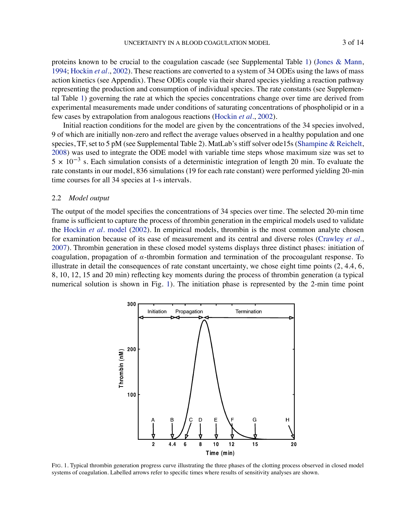proteins known to be crucial to the coagulation cascade (see Supplemental Table [1\)](#page-9-0) ([Jones & Mann,](#page-12-0) [1994](#page-12-0); [Hockin](#page-12-0) *et al.*, [2002](#page-12-0)). These reactions are converted to a system of 34 ODEs using the laws of mass action kinetics (see Appendix). These ODEs couple via their shared species yielding a reaction pathway representing the production and consumption of individual species. The rate constants (see Supplemental Table [1](#page-9-0)) governing the rate at which the species concentrations change over time are derived from experimental measurements made under conditions of saturating concentrations of phospholipid or in a few cases by extrapolation from analogous reactions ([Hockin](#page-12-0) *et al.*, [2002](#page-12-0)).

Initial reaction conditions for the model are given by the concentrations of the 34 species involved, 9 of which are initially non-zero and reflect the average values observed in a healthy population and one species, TF, set to 5 pM (see Supplemental Table 2). MatLab's stiff solver ode15s ([Shampine & Reichelt,](#page-13-0) [2008](#page-13-0)) was used to integrate the ODE model with variable time steps whose maximum size was set to  $5 \times 10^{-3}$  s. Each simulation consists of a deterministic integration of length 20 min. To evaluate the rate constants in our model, 836 simulations (19 for each rate constant) were performed yielding 20-min time courses for all 34 species at 1-s intervals.

#### 2.2 *Model output*

The output of the model specifies the concentrations of 34 species over time. The selected 20-min time frame is sufficient to capture the process of thrombin generation in the empirical models used to validate the [Hockin](#page-13-0) *et al.* model ([2002\)](#page-13-0). In empirical models, thrombin is the most common analyte chosen for examination because of its ease of measurement and its central and diverse roles [\(Crawley](#page-12-0) *et al.*, [2007](#page-12-0)). Thrombin generation in these closed model systems displays three distinct phases: initiation of coagulation, propagation of  $\alpha$ -thrombin formation and termination of the procoagulant response. To illustrate in detail the consequences of rate constant uncertainty, we chose eight time points  $(2, 4.4, 6,$ 8, 10, 12, 15 and 20 min) reflecting key moments during the process of thrombin generation (a typical numerical solution is shown in Fig. [1](#page-2-0)). The initiation phase is represented by the 2-min time point



<span id="page-2-0"></span>FIG. 1. Typical thrombin generation progress curve illustrating the three phases of the clotting process observed in closed model systems of coagulation. Labelled arrows refer to specific times where results of sensitivity analyses are shown.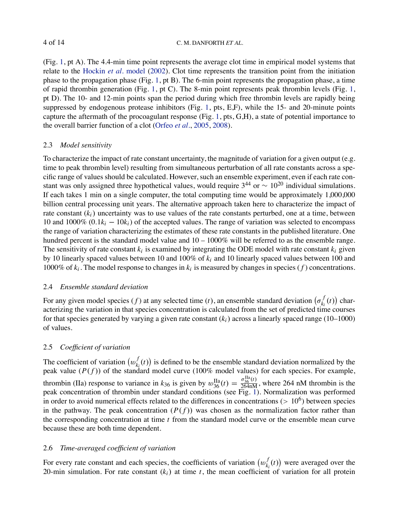(Fig. [1,](#page-2-0) pt A). The 4.4-min time point represents the average clot time in empirical model systems that relate to the [Hockin](#page-13-0) *et al.* model [\(2002\)](#page-13-0). Clot time represents the transition point from the initiation phase to the propagation phase (Fig. [1](#page-2-0), pt B). The 6-min point represents the propagation phase, a time of rapid thrombin generation (Fig. [1](#page-2-0), pt C). The 8-min point represents peak thrombin levels (Fig. 1, pt D). The 10- and 12-min points span the period during which free thrombin levels are rapidly being suppressed by endogenous protease inhibitors (Fig. [1](#page-2-0), pts, E,F), while the 15- and 20-minute points capture the aftermath of the procoagulant response (Fig. [1](#page-2-0), pts,  $G,H$ ), a state of potential importance to the overall barrier function of a clot ([Orfeo](#page-13-0) *et al.*, [2005](#page-13-0), [2008](#page-13-0)).

# 2.3 *Model sensitivity*

To characterize the impact of rate constant uncertainty, the magnitude of variation for a given output (e.g. time to peak thrombin level) resulting from simultaneous perturbation of all rate constants across a specific range of values should be calculated. However, such an ensemble experiment, even if each rate constant was only assigned three hypothetical values, would require  $3^{44}$  or  $\sim 10^{20}$  individual simulations. If each takes 1 min on a single computer, the total computing time would be approximately 1,000,000 billion central processing unit years. The alternative approach taken here to characterize the impact of rate constant  $(k<sub>i</sub>)$  uncertainty was to use values of the rate constants perturbed, one at a time, between 10 and 1000% (0.1*ki* − 10*ki*) of the accepted values. The range of variation was selected to encompass the range of variation characterizing the estimates of these rate constants in the published literature. One hundred percent is the standard model value and  $10 - 1000\%$  will be referred to as the ensemble range. The sensitivity of rate constant  $k_i$  is examined by integrating the ODE model with rate constant  $k_i$  given by 10 linearly spaced values between 10 and 100% of *ki* and 10 linearly spaced values between 100 and 1000% of  $k_i$ . The model response to changes in  $k_i$  is measured by changes in species ( $f$ ) concentrations.

# 2.4 *Ensemble standard deviation*

For any given model species (*f*) at any selected time (*t*), an ensemble standard deviation  $(\sigma_{k_i}^f(t))$  characterizing the variation in that species concentration is calculated from the set of predicted time courses for that species generated by varying a given rate constant  $(k<sub>i</sub>)$  across a linearly spaced range (10–1000) of values.

# 2.5 *Coefficient of variation*

The coefficient of variation  $(w_k^f(t))$  is defined to be the ensemble standard deviation normalized by the peak value  $(P(f))$  of the standard model curve (100% model values) for each species. For example, thrombin (IIa) response to variance in  $k_{36}$  is given by  $w_{36}^{\text{IIa}}(t) = \frac{\sigma_{36}^{\text{IIa}}(t)}{264 \text{nm}}$ , where 264 nM thrombin is the peak concentration of thrombin under standard conditions (see Fig. [1](#page-2-0)). Normalization was performed in order to avoid numerical effects related to the differences in concentrations ( $> 10^6$ ) between species in the pathway. The peak concentration  $(P(f))$  was chosen as the normalization factor rather than the corresponding concentration at time *t* from the standard model curve or the ensemble mean curve because these are both time dependent.

# 2.6 *Time-averaged coefficient of variation*

For every rate constant and each species, the coefficients of variation  $(w_{k_i}^f(t))$  were averaged over the 20-min simulation. For rate constant  $(k<sub>i</sub>)$  at time *t*, the mean coefficient of variation for all protein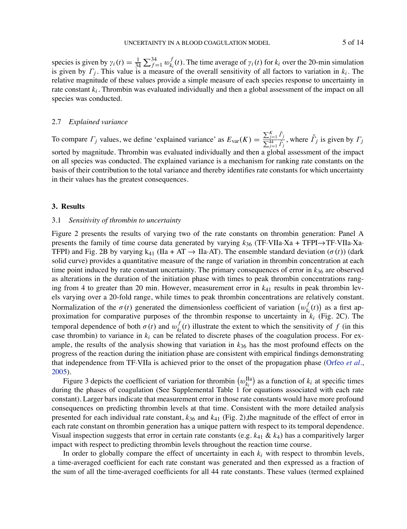species is given by  $\gamma_i(t) = \frac{1}{34} \sum_{f=1}^{34} w_{k_i}^f(t)$ . The time average of  $\gamma_i(t)$  for  $k_i$  over the 20-min simulation is given by Γ*<sup>j</sup>* . This value is a measure of the overall sensitivity of all factors to variation in *ki* . The relative magnitude of these values provide a simple measure of each species response to uncertainty in rate constant *ki* . Thrombin was evaluated individually and then a global assessment of the impact on all species was conducted.

# 2.7 *Explained variance*

To compare  $\Gamma_j$  values, we define 'explained variance' as  $E_{\text{var}}(K) = \frac{\sum_{j=1}^K \hat{\Gamma}_j}{\sum_{j=1}^{44} \hat{\Gamma}_j}$ , where  $\hat{\Gamma}_j$  is given by  $\Gamma_j$ sorted by magnitude. Thrombin was evaluated individually and then a global assessment of the impact on all species was conducted. The explained variance is a mechanism for ranking rate constants on the basis of their contribution to the total variance and thereby identifies rate constants for which uncertainty in their values has the greatest consequences.

## **3. Results**

### 3.1 *Sensitivity of thrombin to uncertainty*

Figure 2 presents the results of varying two of the rate constants on thrombin generation: Panel A presents the family of time course data generated by varying *k*<sup>36</sup> (TF·VIIa·Xa + TFPI→TF·VIIa·Xa· TFPI) and Fig. 2B by varying k<sub>41</sub> (IIa + AT  $\rightarrow$  IIa·AT). The ensemble standard deviation ( $\sigma(t)$ ) (dark solid curve) provides a quantitative measure of the range of variation in thrombin concentration at each time point induced by rate constant uncertainty. The primary consequences of error in  $k_{36}$  are observed as alterations in the duration of the initiation phase with times to peak thrombin concentrations ranging from 4 to greater than 20 min. However, measurement error in *k*<sup>41</sup> results in peak thrombin levels varying over a 20-fold range, while times to peak thrombin concentrations are relatively constant. Normalization of the  $\sigma(t)$  generated the dimensionless coefficient of variation  $(w_{k_i}^f(t))$  as a first approximation for comparative purposes of the thrombin response to uncertainty in *ki* (Fig. 2C). The temporal dependence of both  $\sigma(t)$  and  $w_{k_i}^f(t)$  illustrate the extent to which the sensitivity of *f* (in this case thrombin) to variance in  $k_i$  can be related to discrete phases of the coagulation process. For example, the results of the analysis showing that variation in *k*<sup>36</sup> has the most profound effects on the progress of the reaction during the initiation phase are consistent with empirical findings demonstrating that independence from TF·VIIa is achieved prior to the onset of the propagation phase ([Orfeo](#page-13-0) *et al.*, [2005](#page-13-0)).

Figure 3 depicts the coefficient of variation for thrombin  $(w_{k_i}^{IIa})$  as a function of  $k_i$  at specific times during the phases of coagulation (See Supplemental Table 1 for equations associated with each rate constant). Larger bars indicate that measurement error in those rate constants would have more profound consequences on predicting thrombin levels at that time. Consistent with the more detailed analysis presented for each individual rate constant, *k*<sup>36</sup> and *k*<sup>41</sup> (Fig. 2),the magnitude of the effect of error in each rate constant on thrombin generation has a unique pattern with respect to its temporal dependence. Visual inspection suggests that error in certain rate constants (e.g. *k*<sup>41</sup> & *k*4) has a comparitively larger impact with respect to predicting thrombin levels throughout the reaction time course.

In order to globally compare the effect of uncertainty in each  $k_i$  with respect to thrombin levels, a time-averaged coefficient for each rate constant was generated and then expressed as a fraction of the sum of all the time-averaged coefficients for all 44 rate constants. These values (termed explained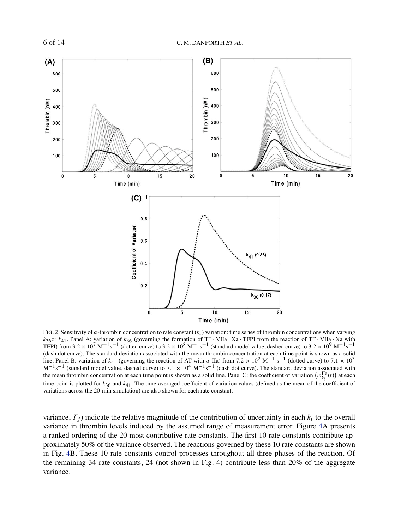

FIG. 2. Sensitivity of α-thrombin concentration to rate constant (*ki*) variation: time series of thrombin concentrations when varying  $k_{36}$ or  $k_{41}$ . Panel A: variation of  $k_{36}$  (governing the formation of TF · VIIa · Xa · TFPI from the reaction of TF · VIIa · Xa with TFPI) from 3.2 × 10<sup>7</sup> M<sup>-1</sup>s<sup>-1</sup> (dotted curve) to 3.2 × 10<sup>8</sup> M<sup>-1</sup>s<sup>-1</sup> (stand (dash dot curve). The standard deviation associated with the mean thrombin concentration at each time point is shown as a solid line. Panel B: variation of  $k_{41}$  (governing the reaction of AT with  $\alpha$ -IIa) from 7.2 × 10<sup>2</sup> M<sup>-1</sup> s<sup>-1</sup> (dotted curve) to 7.1 × 10<sup>3</sup>  $M^{-1}s^{-1}$  (standard model value, dashed curve) to 7.1 × 10<sup>4</sup> M<sup>-1</sup>s<sup>-1</sup> (dash dot curve). The standard deviation associated with the mean thrombin concentration at each time point is shown as a solid line. Panel C: the coefficient of variation  $(w_{ki}^{\text{Ia}}(t))$  at each time point is plotted for *k*36 and *k*41. The time-averaged coefficient of variation values (defined as the mean of the coefficient of variations across the 20-min simulation) are also shown for each rate constant.

variance, Γ*j*) indicate the relative magnitude of the contribution of uncertainty in each *ki* to the overall variance in thrombin levels induced by the assumed range of measurement error. Figure [4A](#page-7-0) presents a ranked ordering of the 20 most contributive rate constants. The first 10 rate constants contribute approximately 50% of the variance observed. The reactions governed by these 10 rate constants are shown in Fig. [4](#page-7-0)B. These 10 rate constants control processes throughout all three phases of the reaction. Of the remaining 34 rate constants, 24 (not shown in Fig. 4) contribute less than 20% of the aggregate variance.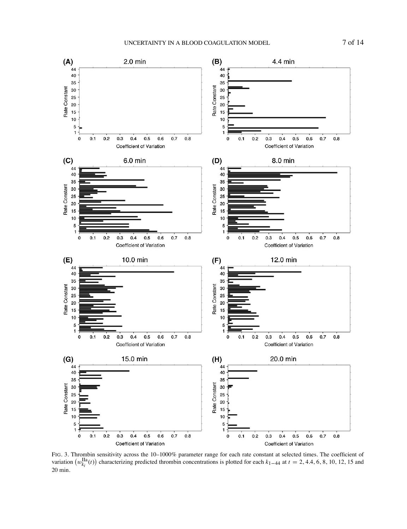

FIG. 3. Thrombin sensitivity across the 10–1000% parameter range for each rate constant at selected times. The coefficient of variation  $(w_{k_i}^{\text{Ia}}(t))$  characterizing predicted thrombin concentrations is plotted for eac 20 min.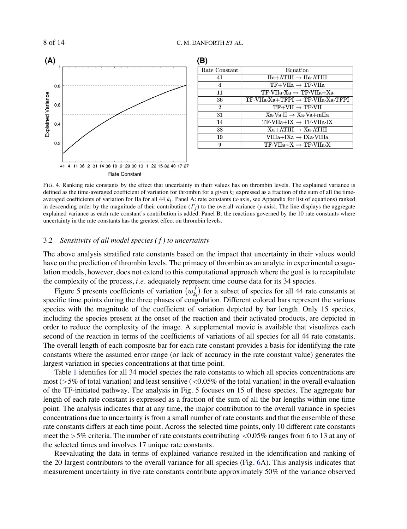

| Rate Constant  | Equation                                                 |
|----------------|----------------------------------------------------------|
| 41             | $IIa+ATIII \rightarrow IIa+ATIII$                        |
| 4              | $TF+VIIa \rightarrow TF\cdot VIIa$                       |
| 11             | $TF-VIIa Xa \rightarrow TF-VIIa+Xa$                      |
| 36             | $TF-VIIa-Xa+TFPI \rightarrow TF-VIIa Xa TFPI$            |
| $\overline{2}$ | $TF+VII \rightarrow TF\cdot VII$                         |
| 31             | $Xa-Va-II \rightarrow Xa-Va+mlIa$                        |
| 14             | $TF\text{-}VIIa+IX \rightarrow TF\text{-}VIIa\text{-}IX$ |
| 38             | $Xa+ATIII \rightarrow Xa \cdot ATIII$                    |
| 19             | VIIIa+IXa → IXa·VIIIa                                    |
| 9              | $TF\cdot VIIa+X \rightarrow TF\cdot VIIa\cdot X$         |

FIG. 4. Ranking rate constants by the effect that uncertainty in their values has on thrombin levels. The explained variance is defined as the time-averaged coefficient of variation for thrombin for a given *ki* expressed as a fraction of the sum of all the timeaveraged coefficients of variation for IIa for all 44 *ki* . Panel A: rate constants (*x*-axis, see Appendix for list of equations) ranked in descending order by the magnitude of their contribution  $(\Gamma_j)$  to the overall variance (*y*-axis). The line displays the aggregate explained variance as each rate constant's contribution is added. Panel B: the reactions governed by the 10 rate constants where uncertainty in the rate constants has the greatest effect on thrombin levels.

# 3.2 *Sensitivity of all model species ( f ) to uncertainty*

The above analysis stratified rate constants based on the impact that uncertainty in their values would have on the prediction of thrombin levels. The primacy of thrombin as an analyte in experimental coagulation models, however, does not extend to this computational approach where the goal is to recapitulate the complexity of the process, *i*.*e*. adequately represent time course data for its 34 species.

Figure 5 presents coefficients of variation  $(w_{k_i}^f)$  for a subset of species for all 44 rate constants at specific time points during the three phases of coagulation. Different colored bars represent the various species with the magnitude of the coefficient of variation depicted by bar length. Only 15 species, including the species present at the onset of the reaction and their activated products, are depicted in order to reduce the complexity of the image. A supplemental movie is available that visualizes each second of the reaction in terms of the coefficients of variations of all species for all 44 rate constants. The overall length of each composite bar for each rate constant provides a basis for identifying the rate constants where the assumed error range (or lack of accuracy in the rate constant value) generates the largest variation in species concentrations at that time point.

Table [1](#page-9-0) identifies for all 34 model species the rate constants to which all species concentrations are most ( $>5\%$  of total variation) and least sensitive ( $<0.05\%$  of the total variation) in the overall evaluation of the TF-initiated pathway. The analysis in Fig. 5 focuses on 15 of these species. The aggregate bar length of each rate constant is expressed as a fraction of the sum of all the bar lengths within one time point. The analysis indicates that at any time, the major contribution to the overall variance in species concentrations due to uncertainty is from a small number of rate constants and that the ensemble of these rate constants differs at each time point. Across the selected time points, only 10 different rate constants meet the  $>5\%$  criteria. The number of rate constants contributing  $< 0.05\%$  ranges from 6 to 13 at any of the selected times and involves 17 unique rate constants.

<span id="page-7-0"></span>Reevaluating the data in terms of explained variance resulted in the identification and ranking of the 20 largest contributors to the overall variance for all species (Fig. [6](#page-9-0)A). This analysis indicates that measurement uncertainty in five rate constants contribute approximately 50% of the variance observed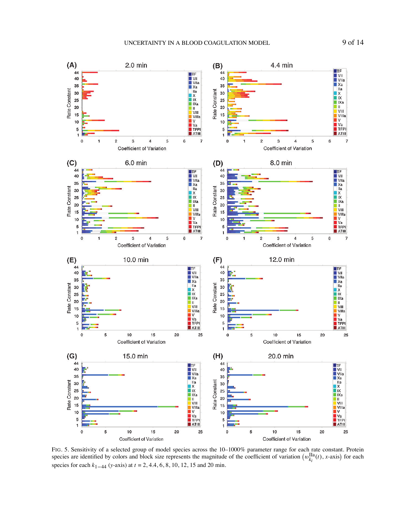

FIG. 5. Sensitivity of a selected group of model species across the 10–1000% parameter range for each rate constant. Protein species are identified by colors and block size represents the magnitude of the coefficient of v species for each *k*1−<sup>44</sup> (*y*-axis) at *t* = 2, 4.4, 6, 8, 10, 12, 15 and 20 min.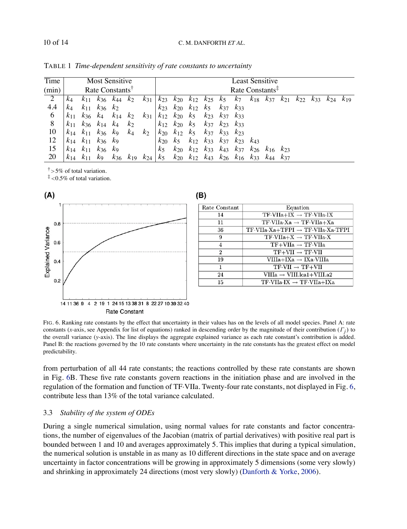# 10 of 14 C. M. DANFORTH *ET AL*.

| Time           | Most Sensitive              |          |                         |                               | Least Sensitive |                                                 |                                    |                         |                         |                                                                                   |                            |                         |                                                                         |                   |  |          |     |  |                   |
|----------------|-----------------------------|----------|-------------------------|-------------------------------|-----------------|-------------------------------------------------|------------------------------------|-------------------------|-------------------------|-----------------------------------------------------------------------------------|----------------------------|-------------------------|-------------------------------------------------------------------------|-------------------|--|----------|-----|--|-------------------|
| (min)          | Rate Constants <sup>1</sup> |          |                         |                               |                 | Rate Constants <sup><math>\ddagger</math></sup> |                                    |                         |                         |                                                                                   |                            |                         |                                                                         |                   |  |          |     |  |                   |
| $\overline{2}$ | $k_4$                       | $K_{11}$ |                         | $k_{36}$ $k_{44}$             | k <sub>2</sub>  | $k_{31}$                                        | $k_{23}$                           |                         |                         |                                                                                   |                            |                         | $k_{20}$ $k_{12}$ $k_{25}$ $k_5$ $k_7$ $k_{18}$ $k_{37}$ $k_{21}$       |                   |  | $K_{22}$ | k33 |  | $k_{24}$ $k_{19}$ |
| 4.4            | k4                          |          | $k_{11}$ $k_{36}$ $k_2$ |                               |                 |                                                 | $k_{23}$                           |                         | $k_{20}$ $k_{12}$ $k_5$ |                                                                                   | $k_{37}$ $k_{33}$          |                         |                                                                         |                   |  |          |     |  |                   |
| 6              | $K_{11}$                    | $k_{36}$ | $k_4$                   | $k_{14}$ $k_2$                |                 |                                                 | $k_{31}$   $k_{12}$ $k_{20}$ $k_5$ |                         |                         | $k_{23}$                                                                          | $k_{37}$ $k_{33}$          |                         |                                                                         |                   |  |          |     |  |                   |
| 8              | $K_{11}$                    |          |                         | $k_{36}$ $k_{14}$ $k_4$ $k_2$ |                 |                                                 |                                    | $k_{12}$ $k_{20}$ $k_5$ |                         |                                                                                   | $k_{37}$ $k_{23}$ $k_{33}$ |                         |                                                                         |                   |  |          |     |  |                   |
| 10             | $k_{14}$                    | $k_{11}$ | $k_{36}$ $k_{9}$        |                               | $k_4$           | $k_{2}$                                         | $k_{20}$                           | $k_{12}$ $k_5$          |                         | $k_{37}$ $k_{33}$ $k_{23}$                                                        |                            |                         |                                                                         |                   |  |          |     |  |                   |
| 12             | $k_{14}$                    | $k_{11}$ | $k_36$ $k_9$            |                               |                 |                                                 | $k_{20}$                           | k <sub>5</sub>          | $k_{12}$                |                                                                                   |                            | $k_3$ $k_3$ $k_2$ $k_4$ |                                                                         |                   |  |          |     |  |                   |
| 15             | $k_{14}$                    | $k_{11}$ | $k_{36}$ $k_{9}$        |                               |                 |                                                 | k <sub>5</sub>                     |                         |                         |                                                                                   |                            |                         | $k_{20}$ $k_{12}$ $k_{33}$ $k_{43}$ $k_{37}$ $k_{26}$ $k_{16}$ $k_{23}$ |                   |  |          |     |  |                   |
| 20             | $K_{14}$                    | $k_{11}$ | K9                      | $k_{36}$                      |                 |                                                 |                                    |                         |                         | $k_{19}$ $k_{24}$   $k_{5}$ $k_{20}$ $k_{12}$ $k_{43}$ $k_{26}$ $k_{16}$ $k_{33}$ |                            |                         |                                                                         | $K_{44}$ $K_{37}$ |  |          |     |  |                   |

TABLE 1 *Time-dependent sensitivity of rate constants to uncertainty*

 $\dagger$  > 5% of total variation.

 $\frac{4}{3}$  <0.5% of total variation.



| Rate Constant  | Equation                                      |  |  |  |  |  |  |  |  |
|----------------|-----------------------------------------------|--|--|--|--|--|--|--|--|
| 14             | $TF$ VIIa+IX $\rightarrow$ TF VIIa IX         |  |  |  |  |  |  |  |  |
| 11             | $TF.VIIa-Xa \rightarrow TF.VIIa+Xa$           |  |  |  |  |  |  |  |  |
| 36             | $TF-VIIa-Xa+TFPI \rightarrow TF-VIIa Xa-TFPI$ |  |  |  |  |  |  |  |  |
| 9              | $TF\cdot VIIa+X \rightarrow TF\cdot VIIa X$   |  |  |  |  |  |  |  |  |
| 4              | $TF+VIIa \rightarrow TF\cdot VIIa$            |  |  |  |  |  |  |  |  |
| $\overline{2}$ | $TF+VII \rightarrow TF\cdot VII$              |  |  |  |  |  |  |  |  |
| 19             | $VIIIa+IXa \rightarrow IXa-VIIIa$             |  |  |  |  |  |  |  |  |
| 1              | $TF-VII \rightarrow TF+VII$                   |  |  |  |  |  |  |  |  |
| 24             | $VIIIa \rightarrow VIII.lca1+VIII.a2$         |  |  |  |  |  |  |  |  |
| 15             | $TF:VIIa:IX \rightarrow TF:VIIa+IXa$          |  |  |  |  |  |  |  |  |

FIG. 6. Ranking rate constants by the effect that uncertainty in their values has on the levels of all model species. Panel A: rate constants (*x*-axis, see Appendix for list of equations) ranked in descending order by the magnitude of their contribution (Γ*j*) to the overall variance (*y*-axis). The line displays the aggregate explained variance as each rate constant's contribution is added. Panel B: the reactions governed by the 10 rate constants where uncertainty in the rate constants has the greatest effect on model predictability.

from perturbation of all 44 rate constants; the reactions controlled by these rate constants are shown in Fig. [6](#page-9-0)B. These five rate constants govern reactions in the initiation phase and are involved in the regulation of the formation and function of TF·VIIa. Twenty-four rate constants, not displayed in Fig. [6](#page-9-0), contribute less than 13% of the total variance calculated.

# 3.3 *Stability of the system of ODEs*

<span id="page-9-0"></span>During a single numerical simulation, using normal values for rate constants and factor concentrations, the number of eigenvalues of the Jacobian (matrix of partial derivatives) with positive real part is bounded between 1 and 10 and averages approximately 5. This implies that during a typical simulation, the numerical solution is unstable in as many as 10 different directions in the state space and on average uncertainty in factor concentrations will be growing in approximately 5 dimensions (some very slowly) and shrinking in approximately 24 directions (most very slowly) [\(Danforth & Yorke](#page-12-0), [2006](#page-12-0)).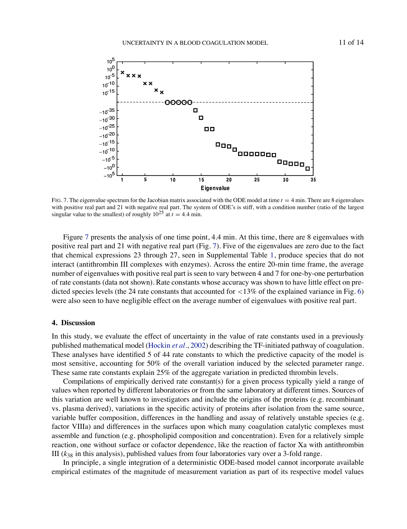

FIG. 7. The eigenvalue spectrum for the Jacobian matrix associated with the ODE model at time  $t = 4$  min. There are 8 eigenvalues with positive real part and 21 with negative real part. The system of ODE's is stiff, with a condition number (ratio of the largest singular value to the smallest) of roughly  $10^{25}$  at  $t = 4.4$  min.

Figure [7](#page-10-0) presents the analysis of one time point, 4.4 min. At this time, there are 8 eigenvalues with positive real part and 21 with negative real part (Fig. [7](#page-10-0)). Five of the eigenvalues are zero due to the fact that chemical expressions 23 through 27, seen in Supplemental Table [1,](#page-2-0) produce species that do not interact (antithrombin III complexes with enzymes). Across the entire 20-min time frame, the average number of eigenvalues with positive real part is seen to vary between 4 and 7 for one-by-one perturbation of rate constants (data not shown). Rate constants whose accuracy was shown to have little effect on predicted species levels (the 24 rate constants that accounted for  $\langle 13\% \rangle$  of the explained variance in Fig. [6\)](#page-9-0) were also seen to have negligible effect on the average number of eigenvalues with positive real part.

### **4. Discussion**

In this study, we evaluate the effect of uncertainty in the value of rate constants used in a previously published mathematical model [\(Hockin](#page-12-0) *et al.*, [2002\)](#page-12-0) describing the TF-initiated pathway of coagulation. These analyses have identified 5 of 44 rate constants to which the predictive capacity of the model is most sensitive, accounting for 50% of the overall variation induced by the selected parameter range. These same rate constants explain 25% of the aggregate variation in predicted thrombin levels.

Compilations of empirically derived rate constant(s) for a given process typically yield a range of values when reported by different laboratories or from the same laboratory at different times. Sources of this variation are well known to investigators and include the origins of the proteins (e.g. recombinant vs. plasma derived), variations in the specific activity of proteins after isolation from the same source, variable buffer composition, differences in the handling and assay of relatively unstable species (e.g. factor VIIIa) and differences in the surfaces upon which many coagulation catalytic complexes must assemble and function (e.g. phospholipid composition and concentration). Even for a relatively simple reaction, one without surface or cofactor dependence, like the reaction of factor Xa with antithrombin III  $(k_{38}$  in this analysis), published values from four laboratories vary over a 3-fold range.

<span id="page-10-0"></span>In principle, a single integration of a deterministic ODE-based model cannot incorporate available empirical estimates of the magnitude of measurement variation as part of its respective model values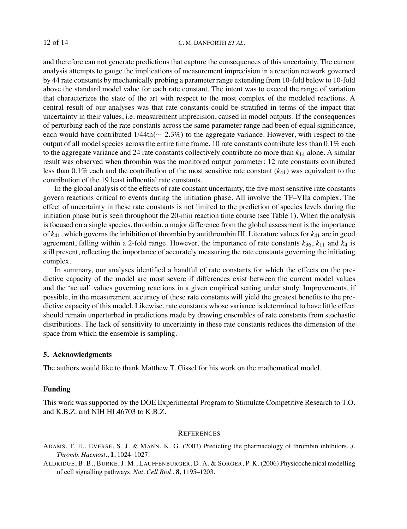and therefore can not generate predictions that capture the consequences of this uncertainty. The current analysis attempts to gauge the implications of measurement imprecision in a reaction network governed by 44 rate constants by mechanically probing a parameter range extending from 10-fold below to 10-fold above the standard model value for each rate constant. The intent was to exceed the range of variation that characterizes the state of the art with respect to the most complex of the modeled reactions. A central result of our analyses was that rate constants could be stratified in terms of the impact that uncertainty in their values, i.e. measurement imprecision, caused in model outputs. If the consequences of perturbing each of the rate constants across the same parameter range had been of equal significance, each would have contributed 1/44th(∼ 2.3%) to the aggregate variance. However, with respect to the output of all model species across the entire time frame, 10 rate constants contribute less than  $0.1\%$  each to the aggregate variance and 24 rate constants collectively contribute no more than  $k_{14}$  alone. A similar result was observed when thrombin was the monitored output parameter: 12 rate constants contributed less than 0.1% each and the contribution of the most sensitive rate constant (*k*41) was equivalent to the contribution of the 19 least influential rate constants.

In the global analysis of the effects of rate constant uncertainty, the five most sensitive rate constants govern reactions critical to events during the initiation phase. All involve the TF–VIIa complex. The effect of uncertainty in these rate constants is not limited to the prediction of species levels during the initiation phase but is seen throughout the 20-min reaction time course (see Table [1\)](#page-9-0). When the analysis is focused on a single species, thrombin, a major difference from the global assessment is the importance of *k*41, which governs the inhibition of thrombin by antithrombin III. Literature values for *k*<sup>41</sup> are in good agreement, falling within a 2-fold range. However, the importance of rate constants  $k_{36}$ ,  $k_{11}$  and  $k_4$  is still present, reflecting the importance of accurately measuring the rate constants governing the initiating complex.

In summary, our analyses identified a handful of rate constants for which the effects on the predictive capacity of the model are most severe if differences exist between the current model values and the 'actual' values governing reactions in a given empirical setting under study. Improvements, if possible, in the measurement accuracy of these rate constants will yield the greatest benefits to the predictive capacity of this model. Likewise, rate constants whose variance is determined to have little effect should remain unperturbed in predictions made by drawing ensembles of rate constants from stochastic distributions. The lack of sensitivity to uncertainty in these rate constants reduces the dimension of the space from which the ensemble is sampling.

# **5. Acknowledgments**

The authors would like to thank Matthew T. Gissel for his work on the mathematical model.

# **Funding**

This work was supported by the DOE Experimental Program to Stimulate Competitive Research to T.O. and K.B.Z. and NIH HL46703 to K.B.Z.

### **REFERENCES**

ADAMS, T. E., EVERSE, S. J. & MANN, K. G. (2003) Predicting the pharmacology of thrombin inhibitors. *J. Thromb. Haemost.*, **1**, 1024–1027.

<span id="page-11-0"></span>ALDRIDGE, B. B., BURKE, J. M., LAUFFENBURGER, D. A. & SORGER, P. K. (2006) Physicochemical modelling of cell signalling pathways. *Nat. Cell Biol.*, **8**, 1195–1203.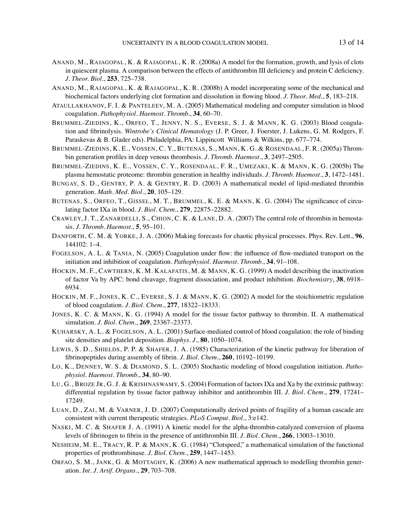- ANAND, M., RAJAGOPAL, K. & RAJAGOPAL, K. R. (2008a) A model for the formation, growth, and lysis of clots in quiescent plasma. A comparison between the effects of antithrombin III deficiency and protein C deficiency. *J. Theor. Biol.*, **253**, 725–738.
- ANAND, M., RAJAGOPAL, K. & RAJAGOPAL, K. R. (2008b) A model incorporating some of the mechanical and biochemical factors underlying clot formation and dissolution in flowing blood. *J. Theor. Med.*, **5**, 183–218.
- ATAULLAKHANOV, F. I. & PANTELEEV, M. A. (2005) Mathematical modeling and computer simulation in blood coagulation. *Pathophysiol. Haemost. Thromb.*, **34**, 60–70.
- BRUMMEL-ZIEDINS, K., ORFEO, T., JENNY, N. S., EVERSE, S. J. & MANN, K. G. (2003) Blood coagulation and fibrinolysis. *Wintrobe's Clinical Hematology* (J. P. Greer, J. Foerster, J. Lukens, G. M. Rodgers, F. Paraskevas & B. Glader eds). Philadelphia, PA: Lippincott Williams & Wilkins, pp. 677–774.
- BRUMMEL-ZIEDINS, K. E., VOSSEN, C. Y., BUTENAS, S., MANN, K. G. & ROSENDAAL, F. R. (2005a) Thrombin generation profiles in deep venous thrombosis. *J. Thromb. Haemost.*, **3**, 2497–2505.
- BRUMMEL-ZIEDINS, K. E., VOSSEN, C. Y., ROSENDAAL, F. R., UMEZAKI, K. & MANN, K. G. (2005b) The plasma hemostatic proteome: thrombin generation in healthy individuals. *J. Thromb. Haemost.*, **3**, 1472–1481.
- BUNGAY, S. D., GENTRY, P. A. & GENTRY, R. D. (2003) A mathematical model of lipid-mediated thrombin generation. *Math. Med. Biol.*, **20**, 105–129.
- BUTENAS, S., ORFEO, T., GISSEL, M. T., BRUMMEL, K. E. & MANN, K. G. (2004) The significance of circulating factor IXa in blood. *J. Biol. Chem.*, **279**, 22875–22882.
- CRAWLEY, J. T., ZANARDELLI, S., CHION, C. K. & LANE, D. A. (2007) The central role of thrombin in hemostasis. *J. Thromb. Haemost.*, **5**, 95–101.
- DANFORTH, C. M. & YORKE, J. A. (2006) Making forecasts for chaotic physical processes. Phys. Rev. Lett., **96**, 144102: 1–4.
- FOGELSON, A. L. & TANIA, N. (2005) Coagulation under flow: the influence of flow-mediated transport on the initiation and inhibition of coagulation. *Pathophysiol. Haemost. Thromb.*, **34**, 91–108.
- HOCKIN, M. F., CAWTHERN, K. M. KALAFATIS, M. & MANN, K. G. (1999) A model describing the inactivation of factor Va by APC: bond cleavage, fragment dissociation, and product inhibition. *Biochemistry*, **38**, 6918– 6934.
- HOCKIN, M. F., JONES, K. C., EVERSE, S. J. & MANN, K. G. (2002) A model for the stoichiometric regulation of blood coagulation. *J. Biol. Chem.*, **277**, 18322–18333.
- JONES, K. C. & MANN, K. G. (1994) A model for the tissue factor pathway to thrombin. II. A mathematical simulation. *J. Biol. Chem.*, **269**, 23367–23373.
- KUHARSKY, A. L. & FOGELSON, A. L. (2001) Surface-mediated control of blood coagulation: the role of binding site densities and platelet deposition. *Biophys. J.*, **80**, 1050–1074.
- LEWIS, S. D., SHIELDS, P. P. & SHAFER, J. A. (1985) Characterization of the kinetic pathway for liberation of fibrinopeptides during assembly of fibrin. *J. Biol. Chem.*, **260**, 10192–10199.
- LO, K., DENNEY, W. S. & DIAMOND, S. L. (2005) Stochastic modeling of blood coagulation initiation. *Pathophysiol. Haemost. Thromb.*, **34**, 80–90.
- LU, G., BROZE JR, G. J. & KRISHNASWAMY, S. (2004) Formation of factors IXa and Xa by the extrinsic pathway: differential regulation by tissue factor pathway inhibitor and antithrombin III. *J. Biol. Chem.*, **279**, 17241– 17249.
- LUAN, D., ZAI, M. & VARNER, J. D. (2007) Computationally derived points of fragility of a human cascade are consistent with current therapeutic strategies. *PLoS Comput. Biol.*, 3:e142.
- NASKI, M. C. & SHAFER J. A. (1991) A kinetic model for the alpha-thrombin-catalyzed conversion of plasma levels of fibrinogen to fibrin in the presence of antithrombin III. *J. Biol. Chem.*, **266**, 13003–13010.
- NESHEIM, M. E., TRACY, R. P. & MANN, K. G. (1984) "Clotspeed," a mathematical simulation of the functional properties of prothrombinase. *J. Biol. Chem.*, **259**, 1447–1453.
- <span id="page-12-0"></span>ORFAO, S. M., JANK, G. & MOTTAGHY, K. (2006) A new mathematical approach to modelling thrombin generation. *Int. J. Artif. Organs.*, **29**, 703–708.